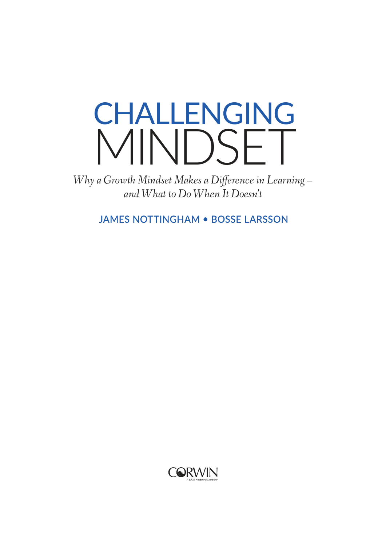# CHALLENGING MINDSET

*Why a Growth Mindset Makes a Difference in Learning – and What to Do When It Doesn't*

 $\blacksquare$   $\blacksquare$   $\blacksquare$   $\blacksquare$   $\blacksquare$   $\blacksquare$   $\blacksquare$   $\blacksquare$   $\blacksquare$   $\blacksquare$   $\blacksquare$   $\blacksquare$   $\blacksquare$   $\blacksquare$   $\blacksquare$   $\blacksquare$   $\blacksquare$   $\blacksquare$   $\blacksquare$   $\blacksquare$   $\blacksquare$   $\blacksquare$   $\blacksquare$   $\blacksquare$   $\blacksquare$   $\blacksquare$   $\blacksquare$   $\blacksquare$   $\blacksquare$   $\blacksquare$   $\blacksquare$   $\blacksquare$ 

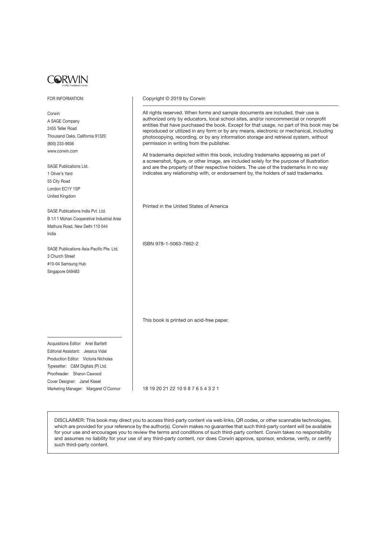

FOR INFORMATION:

Copyright © 2019 by Corwin All rights reserved. When forms and sample documents are included, their use is authorized only by educators, local school sites, and/or noncommercial or nonprofit entities that have purchased the book. Except for that usage, no part of this book may be reproduced or utilized in any form or by any means, electronic or mechanical, including photocopying, recording, or by any information storage and retrieval system, without permission in writing from the publisher. All trademarks depicted within this book, including trademarks appearing as part of a screenshot, figure, or other image, are included solely for the purpose of illustration and are the property of their respective holders. The use of the trademarks in no way indicates any relationship with, or endorsement by, the holders of said trademarks. Printed in the United States of America ISBN 978-1-5063-7662-2 This book is printed on acid-free paper. 18 19 20 21 22 10 9 8 7 6 5 4 3 2 1 Corwin A SAGE Company 2455 Teller Road Thousand Oaks, California 91320 (800) 233-9936 www.corwin.com SAGE Publications Ltd. 1 Oliver's Yard 55 City Road London EC1Y 1SP United Kingdom SAGE Publications India Pvt. Ltd. B 1/I 1 Mohan Cooperative Industrial Area Mathura Road, New Delhi 110 044 India SAGE Publications Asia-Pacific Pte. Ltd. 3 Church Street #10-04 Samsung Hub Singapore 049483 Acquisitions Editor: Ariel Bartlett Editorial Assistant: Jessica Vidal Production Editor: Victoria Nicholas Typesetter: C&M Digitals (P) Ltd. Proofreader: Sharon Cawood Cover Designer: Janet Kiesel Marketing Manager: Margaret O'Connor

DISCLAIMER: This book may direct you to access third-party content via web links, QR codes, or other scannable technologies, which are provided for your reference by the author(s). Corwin makes no guarantee that such third-party content will be available for your use and encourages you to review the terms and conditions of such third-party content. Corwin takes no responsibility and assumes no liability for your use of any third-party content, nor does Corwin approve, sponsor, endorse, verify, or certify such third-party content.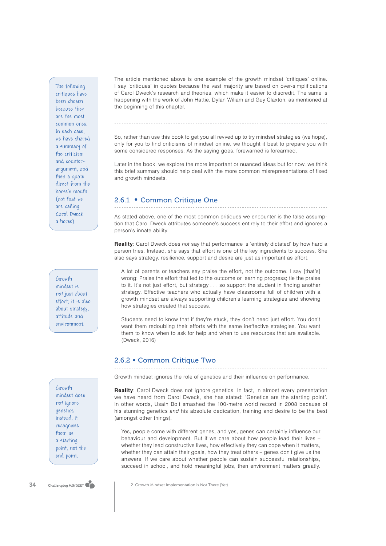The following critiques have been chosen because they are the most common ones. In each case, we have shared a summary of the criticism and counterargument, and then a quote direct from the horse's mouth (not that we are calling Carol Dweck a horse).

Growth mindset is not just about effort; it is also about strategy, attitude and environment.

Growth mindset does not ignore genetics; instead, it recognises them as a starting point, not the end point.

The article mentioned above is one example of the growth mindset 'critiques' online. I say 'critiques' in quotes because the vast majority are based on over-simplifications of Carol Dweck's research and theories, which make it easier to discredit. The same is happening with the work of John Hattie, Dylan Wiliam and Guy Claxton, as mentioned at the beginning of this chapter.

So, rather than use this book to get you all revved up to try mindset strategies (we hope), only for you to find criticisms of mindset online, we thought it best to prepare you with some considered responses. As the saying goes, forewarned is forearmed.

Later in the book, we explore the more important or nuanced ideas but for now, we think this brief summary should help deal with the more common misrepresentations of fixed and growth mindsets.

### 2.6.1 • Common Critique One

As stated above, one of the most common critiques we encounter is the false assumption that Carol Dweck attributes someone's success entirely to their effort and ignores a person's innate ability.

**Reality**: Carol Dweck does *not* say that performance is 'entirely dictated' by how hard a person tries. Instead, she says that effort is one of the key ingredients to success. She also says strategy, resilience, support and desire are just as important as effort.

A lot of parents or teachers say praise the effort, not the outcome. I say [that's] wrong: Praise the effort that led to the outcome or learning progress; tie the praise to it. It's not just effort, but strategy . . . so support the student in finding another strategy. Effective teachers who actually have classrooms full of children with a growth mindset are always supporting children's learning strategies and showing how strategies created that success.

Students need to know that if they're stuck, they don't need just effort. You don't want them redoubling their efforts with the same ineffective strategies. You want them to know when to ask for help and when to use resources that are available. (Dweck, 2016)

### 2.6.2 • Common Critique Two

Growth mindset ignores the role of genetics and their influence on performance.

**Reality**: Carol Dweck does not ignore genetics! In fact, in almost every presentation we have heard from Carol Dweck, she has stated: 'Genetics are the starting point'. In other words, Usain Bolt smashed the 100-metre world record in 2008 because of his stunning genetics *and* his absolute dedication, training and desire to be the best (amongst other things).

Yes, people come with different genes, and yes, genes can certainly influence our behaviour and development. But if we care about how people lead their lives – whether they lead constructive lives, how effectively they can cope when it matters, whether they can attain their goals, how they treat others – genes don't give us the answers. If we care about whether people can sustain successful relationships, succeed in school, and hold meaningful jobs, then environment matters greatly.

34 Challenging MINDSET 2. Growth Mindset Implementation is Not There (Yet)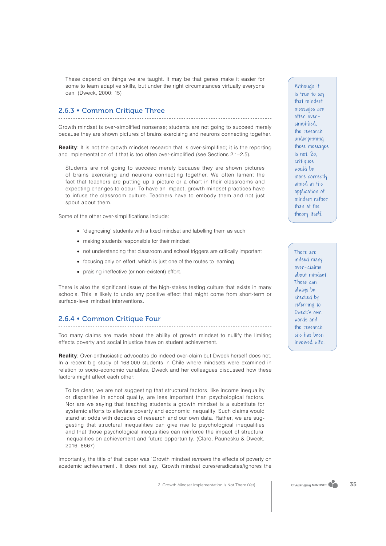These depend on things we are taught. It may be that genes make it easier for some to learn adaptive skills, but under the right circumstances virtually everyone can. (Dweck, 2000: 15)

### 2.6.3 • Common Critique Three

Growth mindset is over-simplified nonsense; students are not going to succeed merely because they are shown pictures of brains exercising and neurons connecting together.

**Reality:** It is not the growth mindset research that is over-simplified; it is the reporting and implementation of it that is too often over-simplified (see Sections 2.1–2.5).

Students are not going to succeed merely because they are shown pictures of brains exercising and neurons connecting together. We often lament the fact that teachers are putting up a picture or a chart in their classrooms and expecting changes to occur. To have an impact, growth mindset practices have to infuse the classroom culture. Teachers have to embody them and not just spout about them.

Some of the other over-simplifications include:

- 'diagnosing' students with a fixed mindset and labelling them as such
- making students responsible for their mindset
- not understanding that classroom and school triggers are critically important
- focusing only on effort, which is just one of the routes to learning
- praising ineffective (or non-existent) effort.

There is also the significant issue of the high-stakes testing culture that exists in many schools. This is likely to undo any positive effect that might come from short-term or surface-level mindset interventions.

### 2.6.4 • Common Critique Four

Too many claims are made about the ability of growth mindset to nullify the limiting effects poverty and social injustice have on student achievement.

**Reality**: Over-enthusiastic advocates do indeed over-claim but Dweck herself does not. In a recent big study of 168,000 students in Chile where mindsets were examined in relation to socio-economic variables, Dweck and her colleagues discussed how these factors might affect each other:

To be clear, we are not suggesting that structural factors, like income inequality or disparities in school quality, are less important than psychological factors. Nor are we saying that teaching students a growth mindset is a substitute for systemic efforts to alleviate poverty and economic inequality. Such claims would stand at odds with decades of research and our own data. Rather, we are suggesting that structural inequalities can give rise to psychological inequalities and that those psychological inequalities can reinforce the impact of structural inequalities on achievement and future opportunity. (Claro, Paunesku & Dweck, 2016: 8667)

Importantly, the title of that paper was 'Growth mindset *tempers* the effects of poverty on academic achievement'. It does not say, 'Growth mindset cures/eradicates/ignores the

2. Growth Mindset Implementation is Not There (Yet) Challenging MINDSET 35

Although it is true to say that mindset messages are often oversimplified, the research underpinning these messages is not. So, critiques would be more correctly aimed at the application of mindset rather than at the theory itself.

There are indeed many over-claims about mindset. These can always be checked by referring to Dweck's own words and the research she has been involved with.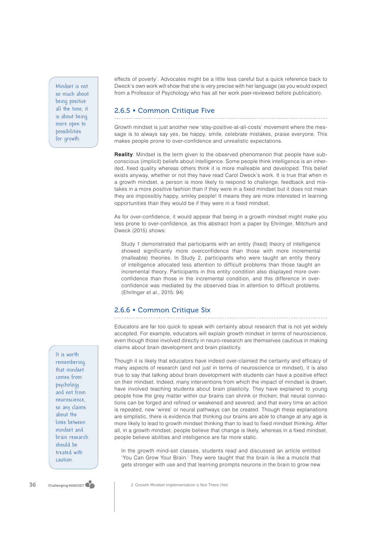Mindset is not so much about being positive all the time; it is about being more open to possibilities for growth.

effects of poverty'. Advocates might be a little less careful but a quick reference back to Dweck's own work will show that she is very precise with her language (as you would expect from a Professor of Psychology who has all her work peer-reviewed before publication).

### 2.6.5 • Common Critique Five

Growth mindset is just another new 'stay-positive-at-all-costs' movement where the message is to always say yes, be happy, smile, celebrate mistakes, praise everyone. This makes people prone to over-confidence and unrealistic expectations.

**Reality**: Mindset is the term given to the observed phenomenon that people have subconscious (implicit) beliefs about intelligence. Some people think intelligence is an inherited, fixed quality whereas others think it is more malleable and developed. This belief exists anyway, whether or not they have read Carol Dweck's work. It is true that when in a growth mindset, a person is more likely to respond to challenge, feedback and mistakes in a more positive fashion than if they were in a fixed mindset but it does not mean they are impossibly happy, smiley people! It means they are more interested in learning opportunities than they would be if they were in a fixed mindset.

As for over-confidence, it would appear that being in a growth mindset might make you less prone to over-confidence, as this abstract from a paper by Ehrilnger, Mitchum and Dweck (2015) shows:

Study 1 demonstrated that participants with an entity (fixed) theory of intelligence showed significantly more overconfidence than those with more incremental (malleable) theories. In Study 2, participants who were taught an entity theory of intelligence allocated less attention to difficult problems than those taught an incremental theory. Participants in this entity condition also displayed more overconfidence than those in the incremental condition, and this difference in overconfidence was mediated by the observed bias in attention to difficult problems. (Ehrilnger et al., 2015: 94)

### 2.6.6 • Common Critique Six

Educators are far too quick to speak with certainty about research that is not yet widely accepted. For example, educators will explain growth mindset in terms of neuroscience, even though those involved directly in neuro-research are themselves cautious in making claims about brain development and brain plasticity.

Though it is likely that educators have indeed over-claimed the certainty and efficacy of many aspects of research (and not just in terms of neuroscience or mindset), it is also true to say that talking about brain development with students *can* have a positive effect on their mindset. Indeed, many interventions from which the impact of mindset is drawn, have involved teaching students about brain plasticity. They have explained to young people how the grey matter within our brains can shrink or thicken; that neural connections can be forged and refined or weakened and severed; and that every time an action is repeated, new 'wires' or neural pathways can be created. Though these explanations are simplistic, there is evidence that thinking our brains are *able* to change at any age is more likely to lead to growth mindset thinking than to lead to fixed mindset thinking. After all, in a growth mindset, people believe that change is likely, whereas in a fixed mindset, people believe abilities and intelligence are far more static.

In the growth mind-set classes, students read and discussed an article entitled 'You Can Grow Your Brain.' They were taught that the brain is like a muscle that gets stronger with use and that learning prompts neurons in the brain to grow new

It is worth remembering that mindset comes from psychology and not from neuroscience, so any claims about the links between mindset and brain research should be treated with caution.

36 Challenging MINDSET 2. Growth Mindset Implementation is Not There (Yet)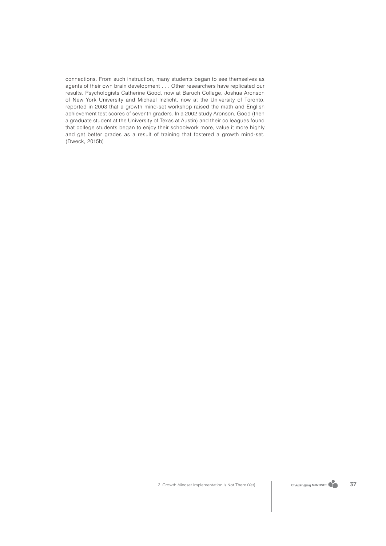connections. From such instruction, many students began to see themselves as agents of their own brain development . . . Other researchers have replicated our results. Psychologists Catherine Good, now at Baruch College, Joshua Aronson of New York University and Michael Inzlicht, now at the University of Toronto, reported in 2003 that a growth mind-set workshop raised the math and English achievement test scores of seventh graders. In a 2002 study Aronson, Good (then a graduate student at the University of Texas at Austin) and their colleagues found that college students began to enjoy their schoolwork more, value it more highly and get better grades as a result of training that fostered a growth mind-set. (Dweck, 2015b)

2. Growth Mindset Implementation is Not There (Yet) Challenging MINDSET 37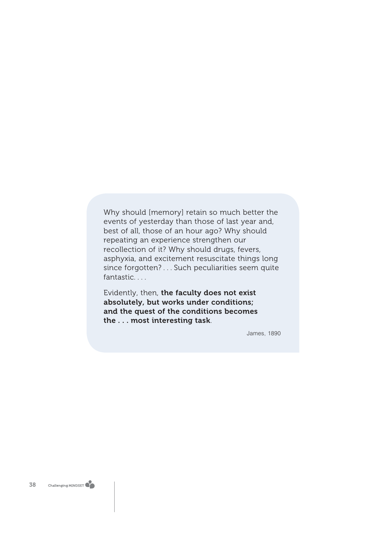Why should [memory] retain so much better the events of yesterday than those of last year and, best of all, those of an hour ago? Why should repeating an experience strengthen our recollection of it? Why should drugs, fevers, asphyxia, and excitement resuscitate things long since forgotten? . . . Such peculiarities seem quite fantastic. . . .

Evidently, then, the faculty does not exist absolutely, but works under conditions; and the quest of the conditions becomes the . . . most interesting task.

James, 1890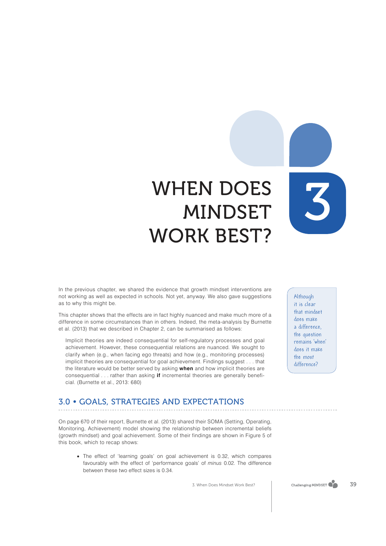# WHEN DOES MINDSET WORK BEST?

In the previous chapter, we shared the evidence that growth mindset interventions are not working as well as expected in schools. Not yet, anyway. We also gave suggestions as to why this might be.

This chapter shows that the effects are in fact highly nuanced and make much more of a difference in some circumstances than in others. Indeed, the meta-analysis by Burnette et al. (2013) that we described in Chapter 2, can be summarised as follows:

Implicit theories are indeed consequential for self-regulatory processes and goal achievement. However, these consequential relations are nuanced. We sought to clarify when (e.g., when facing ego threats) and how (e.g., monitoring processes) implicit theories are consequential for goal achievement. Findings suggest . . . that the literature would be better served by asking **when** and how implicit theories are consequential . . . rather than asking **if** incremental theories are generally beneficial. (Burnette et al., 2013: 680)

# 3.0 • GOALS, STRATEGIES AND EXPECTATIONS

On page 670 of their report, Burnette et al. (2013) shared their SOMA (Setting, Operating, Monitoring, Achievement) model showing the relationship between incremental beliefs (growth mindset) and goal achievement. Some of their findings are shown in Figure 5 of this book, which to recap shows:

• The effect of 'learning goals' on goal achievement is 0.32, which compares favourably with the effect of 'performance goals' of *minus* 0.02. The difference between these two effect sizes is 0.34.

3. When Does Mindset Work Best? Challenging MINDSET 39

**Although** it is clear that mindset does make a difference, the question remains 'when' does it make the most difference?

3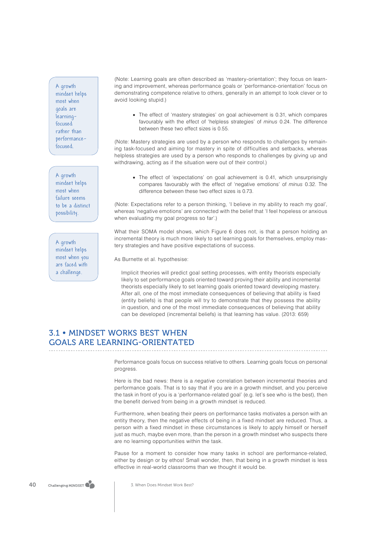A growth mindset helps most when goals are learningfocused rather than performancefocused.

A growth mindset helps most when failure seems to be a distinct possibility.

A growth mindset helps most when you are faced with a challenge.

(Note: Learning goals are often described as 'mastery-orientation'; they focus on learning and improvement, whereas performance goals or 'performance-orientation' focus on demonstrating competence relative to others, generally in an attempt to look clever or to avoid looking stupid.)

• The effect of 'mastery strategies' on goal achievement is 0.31, which compares favourably with the effect of 'helpless strategies' of *minus* 0.24. The difference between these two effect sizes is 0.55.

(Note: Mastery strategies are used by a person who responds to challenges by remaining task-focused and aiming for mastery in spite of difficulties and setbacks, whereas helpless strategies are used by a person who responds to challenges by giving up and withdrawing, acting as if the situation were out of their control.)

• The effect of 'expectations' on goal achievement is 0.41, which unsurprisingly compares favourably with the effect of 'negative emotions' of *minus* 0.32. The difference between these two effect sizes is 0.73.

(Note: Expectations refer to a person thinking, 'I believe in my ability to reach my goal', whereas 'negative emotions' are connected with the belief that 'I feel hopeless or anxious when evaluating my goal progress so far'.)

What their SOMA model shows, which Figure 6 does not, is that a person holding an incremental theory is much more likely to set learning goals for themselves, employ mastery strategies and have positive expectations of success.

As Burnette et al. hypothesise:

Implicit theories will predict goal setting processes, with entity theorists especially likely to set performance goals oriented toward proving their ability and incremental theorists especially likely to set learning goals oriented toward developing mastery. After all, one of the most immediate consequences of believing that ability is fixed (entity beliefs) is that people will try to demonstrate that they possess the ability in question, and one of the most immediate consequences of believing that ability can be developed (incremental beliefs) is that learning has value. (2013: 659)

### 3.1 • MINDSET WORKS BEST WHEN GOALS ARE LEARNING-ORIENTATED

Performance goals focus on success relative to others. Learning goals focus on personal progress.

Here is the bad news: there is a *negative* correlation between incremental theories and performance goals. That is to say that if you are in a growth mindset, and you perceive the task in front of you is a 'performance-related goal' (e.g. let's see who is the best), then the benefit derived from being in a growth mindset is reduced.

Furthermore, when beating their peers on performance tasks motivates a person with an entity theory, then the negative effects of being in a fixed mindset are reduced. Thus, a person with a fixed mindset in these circumstances is likely to apply himself or herself just as much, maybe even more, than the person in a growth mindset who suspects there are no learning opportunities within the task.

Pause for a moment to consider how many tasks in school are performance-related, either by design or by ethos! Small wonder, then, that being in a growth mindset is less effective in real-world classrooms than we thought it would be.

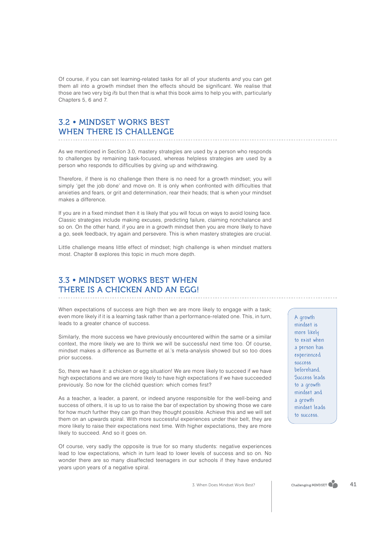Of course, if you can set learning-related tasks for all of your students *and* you can get them all into a growth mindset then the effects should be significant. We realise that those are two very big *ifs* but then that is what this book aims to help you with, particularly Chapters 5, 6 and 7.

# 3.2 • MINDSET WORKS BEST WHEN THERE IS CHALLENGE

As we mentioned in Section 3.0, mastery strategies are used by a person who responds to challenges by remaining task-focused, whereas helpless strategies are used by a person who responds to difficulties by giving up and withdrawing.

Therefore, if there is no challenge then there is no need for a growth mindset; you will simply 'get the job done' and move on. It is only when confronted with difficulties that anxieties and fears, or grit and determination, rear their heads; that is when your mindset makes a difference.

If you are in a fixed mindset then it is likely that you will focus on ways to avoid losing face. Classic strategies include making excuses, predicting failure, claiming nonchalance and so on. On the other hand, if you are in a growth mindset then you are more likely to have a go, seek feedback, try again and persevere. This is when mastery strategies are crucial.

Little challenge means little effect of mindset; high challenge is when mindset matters most. Chapter 8 explores this topic in much more depth.

# 3.3 • MINDSET WORKS BEST WHEN THERE IS A CHICKEN AND AN EGG!

When expectations of success are high then we are more likely to engage with a task; even more likely if it is a learning task rather than a performance-related one. This, in turn, leads to a greater chance of success.

Similarly, the more success we have previously encountered within the same or a similar context, the more likely we are to think we will be successful next time too. Of course, mindset makes a difference as Burnette et al.'s meta-analysis showed but so too does prior success.

So, there we have it: a chicken or egg situation! We are more likely to succeed if we have high expectations and we are more likely to have high expectations if we have succeeded previously. So now for the clichéd question: which comes first?

As a teacher, a leader, a parent, or indeed anyone responsible for the well-being and success of others, it is up to us to raise the bar of expectation by showing those we care for how much further they can go than they thought possible. Achieve this and we will set them on an upwards spiral. With more successful experiences under their belt, they are more likely to raise their expectations next time. With higher expectations, they are more likely to succeed. And so it goes on.

Of course, very sadly the opposite is true for so many students: negative experiences lead to low expectations, which in turn lead to lower levels of success and so on. No wonder there are so many disaffected teenagers in our schools if they have endured years upon years of a negative spiral.

3. When Does Mindset Work Best? Challenging MINDSET 1

A growth mindset is more likely to exist when a person has experienced success beforehand. Success leads to a growth mindset and a growth mindset leads to success.